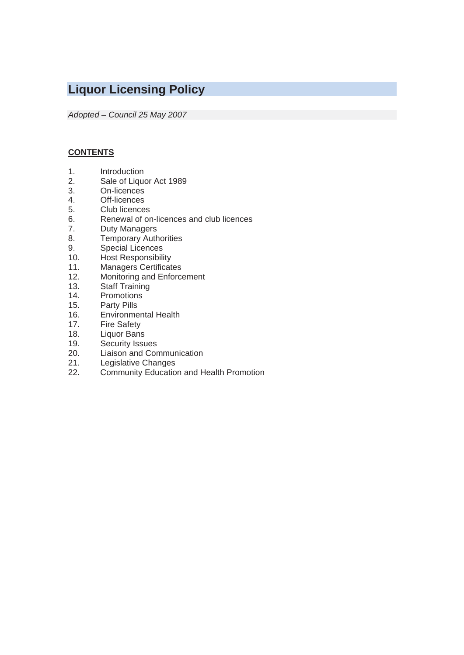# **Liquor Licensing Policy**

*Adopted – Council 25 May 2007* 

# **CONTENTS**

- 1. Introduction
- 2. Sale of Liquor Act 1989
- 3. On-licences
- Off-licences
- 5. Club licences
- 6. Renewal of on-licences and club licences
- 7. Duty Managers
- 8. Temporary Authorities
- 9. Special Licences
- 10. Host Responsibility
- 11. Managers Certificates<br>12. Monitoring and Enforce
- Monitoring and Enforcement
- 13. Staff Training<br>14. Promotions
- **Promotions**
- 15. Party Pills<br>16. Environme
- **Environmental Health**
- 17. Fire Safety
- 18. Liquor Bans
- 19. Security Issues<br>20. Liaison and Cor
- 20. Liaison and Communication<br>21. Legislative Changes
- 21. Legislative Changes<br>22. Community Educatio
- Community Education and Health Promotion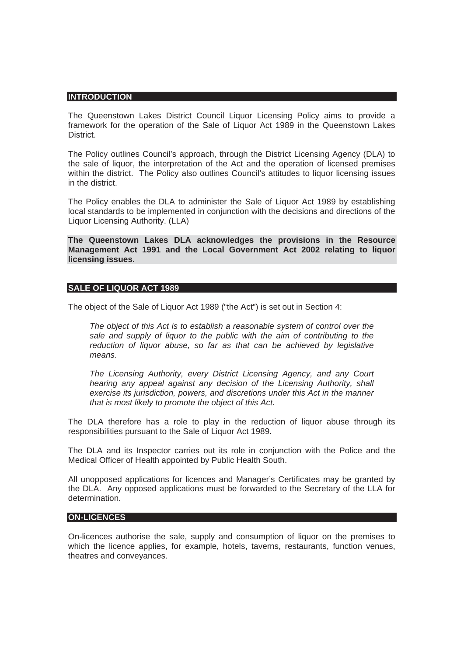#### **INTRODUCTION**

The Queenstown Lakes District Council Liquor Licensing Policy aims to provide a framework for the operation of the Sale of Liquor Act 1989 in the Queenstown Lakes **District.** 

The Policy outlines Council's approach, through the District Licensing Agency (DLA) to the sale of liquor, the interpretation of the Act and the operation of licensed premises within the district. The Policy also outlines Council's attitudes to liquor licensing issues in the district.

The Policy enables the DLA to administer the Sale of Liquor Act 1989 by establishing local standards to be implemented in conjunction with the decisions and directions of the Liquor Licensing Authority. (LLA)

**The Queenstown Lakes DLA acknowledges the provisions in the Resource Management Act 1991 and the Local Government Act 2002 relating to liquor licensing issues.** 

#### **SALE OF LIQUOR ACT 1989**

The object of the Sale of Liquor Act 1989 ("the Act") is set out in Section 4:

*The object of this Act is to establish a reasonable system of control over the sale and supply of liquor to the public with the aim of contributing to the reduction of liquor abuse, so far as that can be achieved by legislative means.* 

*The Licensing Authority, every District Licensing Agency, and any Court hearing any appeal against any decision of the Licensing Authority, shall exercise its jurisdiction, powers, and discretions under this Act in the manner that is most likely to promote the object of this Act.* 

The DLA therefore has a role to play in the reduction of liquor abuse through its responsibilities pursuant to the Sale of Liquor Act 1989.

The DLA and its Inspector carries out its role in conjunction with the Police and the Medical Officer of Health appointed by Public Health South.

All unopposed applications for licences and Manager's Certificates may be granted by the DLA. Any opposed applications must be forwarded to the Secretary of the LLA for determination.

#### **ON-LICENCES**

On-licences authorise the sale, supply and consumption of liquor on the premises to which the licence applies, for example, hotels, taverns, restaurants, function venues, theatres and conveyances.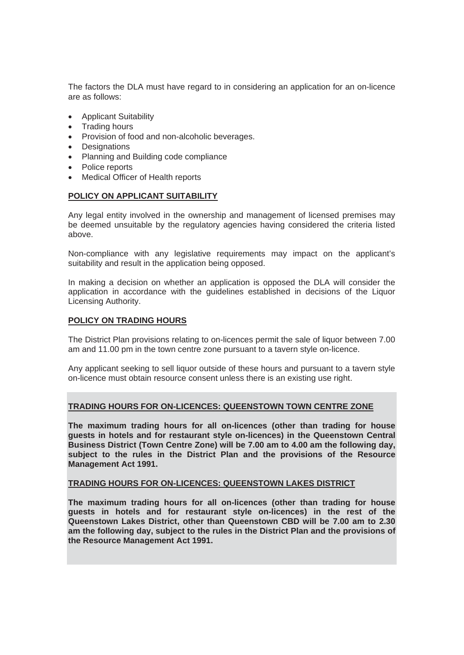The factors the DLA must have regard to in considering an application for an on-licence are as follows:

- Applicant Suitability
- Trading hours
- Provision of food and non-alcoholic beverages.
- Designations
- Planning and Building code compliance
- Police reports
- Medical Officer of Health reports

## **POLICY ON APPLICANT SUITABILITY**

Any legal entity involved in the ownership and management of licensed premises may be deemed unsuitable by the regulatory agencies having considered the criteria listed above.

Non-compliance with any legislative requirements may impact on the applicant's suitability and result in the application being opposed.

In making a decision on whether an application is opposed the DLA will consider the application in accordance with the guidelines established in decisions of the Liquor Licensing Authority.

## **POLICY ON TRADING HOURS**

The District Plan provisions relating to on-licences permit the sale of liquor between 7.00 am and 11.00 pm in the town centre zone pursuant to a tavern style on-licence.

Any applicant seeking to sell liquor outside of these hours and pursuant to a tavern style on-licence must obtain resource consent unless there is an existing use right.

## **TRADING HOURS FOR ON-LICENCES: QUEENSTOWN TOWN CENTRE ZONE**

**The maximum trading hours for all on-licences (other than trading for house guests in hotels and for restaurant style on-licences) in the Queenstown Central Business District (Town Centre Zone) will be 7.00 am to 4.00 am the following day, subject to the rules in the District Plan and the provisions of the Resource Management Act 1991.** 

## **TRADING HOURS FOR ON-LICENCES: QUEENSTOWN LAKES DISTRICT**

**The maximum trading hours for all on-licences (other than trading for house guests in hotels and for restaurant style on-licences) in the rest of the Queenstown Lakes District, other than Queenstown CBD will be 7.00 am to 2.30 am the following day, subject to the rules in the District Plan and the provisions of the Resource Management Act 1991.**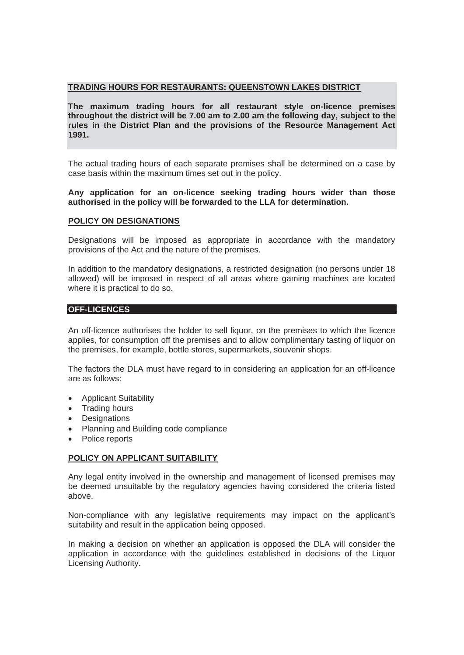# **TRADING HOURS FOR RESTAURANTS: QUEENSTOWN LAKES DISTRICT**

**The maximum trading hours for all restaurant style on-licence premises throughout the district will be 7.00 am to 2.00 am the following day, subject to the rules in the District Plan and the provisions of the Resource Management Act 1991.** 

The actual trading hours of each separate premises shall be determined on a case by case basis within the maximum times set out in the policy.

**Any application for an on-licence seeking trading hours wider than those authorised in the policy will be forwarded to the LLA for determination.** 

#### **POLICY ON DESIGNATIONS**

Designations will be imposed as appropriate in accordance with the mandatory provisions of the Act and the nature of the premises.

In addition to the mandatory designations, a restricted designation (no persons under 18 allowed) will be imposed in respect of all areas where gaming machines are located where it is practical to do so.

#### **OFF-LICENCES**

An off-licence authorises the holder to sell liquor, on the premises to which the licence applies, for consumption off the premises and to allow complimentary tasting of liquor on the premises, for example, bottle stores, supermarkets, souvenir shops.

The factors the DLA must have regard to in considering an application for an off-licence are as follows:

- Applicant Suitability
- **Trading hours**
- Designations
- Planning and Building code compliance
- Police reports

## **POLICY ON APPLICANT SUITABILITY**

Any legal entity involved in the ownership and management of licensed premises may be deemed unsuitable by the regulatory agencies having considered the criteria listed above.

Non-compliance with any legislative requirements may impact on the applicant's suitability and result in the application being opposed.

In making a decision on whether an application is opposed the DLA will consider the application in accordance with the guidelines established in decisions of the Liquor Licensing Authority.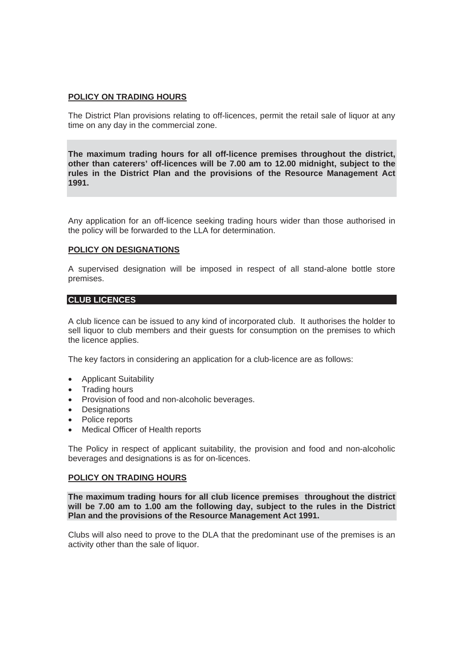## **POLICY ON TRADING HOURS**

The District Plan provisions relating to off-licences, permit the retail sale of liquor at any time on any day in the commercial zone.

**The maximum trading hours for all off-licence premises throughout the district, other than caterers' off-licences will be 7.00 am to 12.00 midnight, subject to the rules in the District Plan and the provisions of the Resource Management Act 1991.** 

Any application for an off-licence seeking trading hours wider than those authorised in the policy will be forwarded to the LLA for determination.

## **POLICY ON DESIGNATIONS**

A supervised designation will be imposed in respect of all stand-alone bottle store premises.

## **CLUB LICENCES**

A club licence can be issued to any kind of incorporated club. It authorises the holder to sell liquor to club members and their guests for consumption on the premises to which the licence applies.

The key factors in considering an application for a club-licence are as follows:

- Applicant Suitability
- Trading hours
- Provision of food and non-alcoholic beverages.
- Designations
- Police reports
- Medical Officer of Health reports

The Policy in respect of applicant suitability, the provision and food and non-alcoholic beverages and designations is as for on-licences.

#### **POLICY ON TRADING HOURS**

**The maximum trading hours for all club licence premises throughout the district will be 7.00 am to 1.00 am the following day, subject to the rules in the District Plan and the provisions of the Resource Management Act 1991.** 

Clubs will also need to prove to the DLA that the predominant use of the premises is an activity other than the sale of liquor.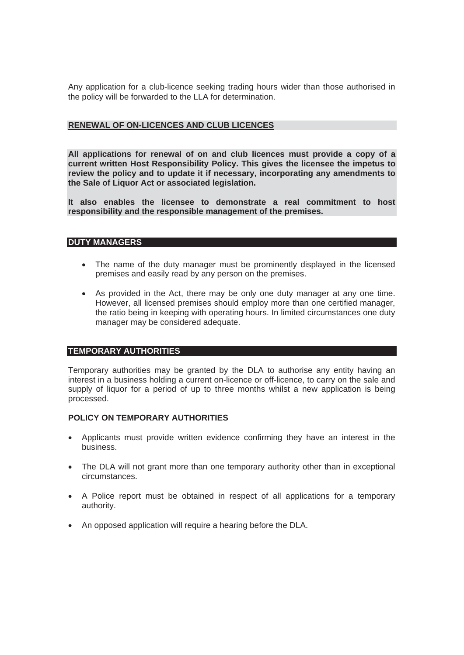Any application for a club-licence seeking trading hours wider than those authorised in the policy will be forwarded to the LLA for determination.

# **RENEWAL OF ON-LICENCES AND CLUB LICENCES**

**All applications for renewal of on and club licences must provide a copy of a current written Host Responsibility Policy. This gives the licensee the impetus to review the policy and to update it if necessary, incorporating any amendments to the Sale of Liquor Act or associated legislation.** 

**It also enables the licensee to demonstrate a real commitment to host responsibility and the responsible management of the premises.** 

## **DUTY MANAGERS**

- The name of the duty manager must be prominently displayed in the licensed premises and easily read by any person on the premises.
- As provided in the Act, there may be only one duty manager at any one time. However, all licensed premises should employ more than one certified manager, the ratio being in keeping with operating hours. In limited circumstances one duty manager may be considered adequate.

# **TEMPORARY AUTHORITIES**

Temporary authorities may be granted by the DLA to authorise any entity having an interest in a business holding a current on-licence or off-licence, to carry on the sale and supply of liquor for a period of up to three months whilst a new application is being processed.

## **POLICY ON TEMPORARY AUTHORITIES**

- Applicants must provide written evidence confirming they have an interest in the business.
- The DLA will not grant more than one temporary authority other than in exceptional circumstances.
- A Police report must be obtained in respect of all applications for a temporary authority.
- An opposed application will require a hearing before the DLA.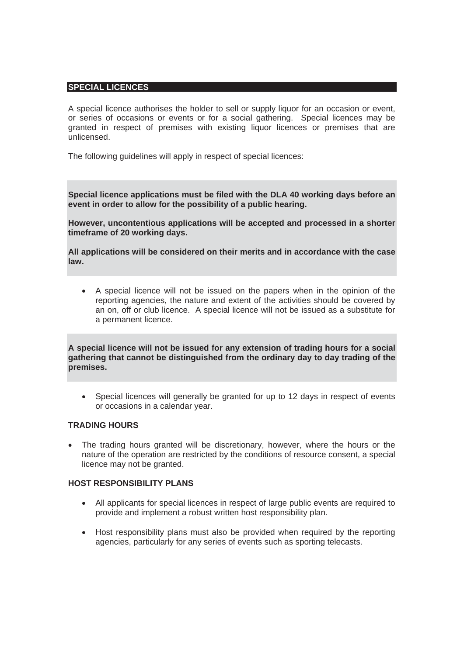#### **SPECIAL LICENCES**

A special licence authorises the holder to sell or supply liquor for an occasion or event, or series of occasions or events or for a social gathering. Special licences may be granted in respect of premises with existing liquor licences or premises that are unlicensed.

The following guidelines will apply in respect of special licences:

**Special licence applications must be filed with the DLA 40 working days before an event in order to allow for the possibility of a public hearing.** 

**However, uncontentious applications will be accepted and processed in a shorter timeframe of 20 working days.** 

**All applications will be considered on their merits and in accordance with the case law.** 

• A special licence will not be issued on the papers when in the opinion of the reporting agencies, the nature and extent of the activities should be covered by an on, off or club licence. A special licence will not be issued as a substitute for a permanent licence.

**A special licence will not be issued for any extension of trading hours for a social gathering that cannot be distinguished from the ordinary day to day trading of the premises.** 

• Special licences will generally be granted for up to 12 days in respect of events or occasions in a calendar year.

## **TRADING HOURS**

The trading hours granted will be discretionary, however, where the hours or the nature of the operation are restricted by the conditions of resource consent, a special licence may not be granted.

#### **HOST RESPONSIBILITY PLANS**

- All applicants for special licences in respect of large public events are required to provide and implement a robust written host responsibility plan.
- Host responsibility plans must also be provided when required by the reporting agencies, particularly for any series of events such as sporting telecasts.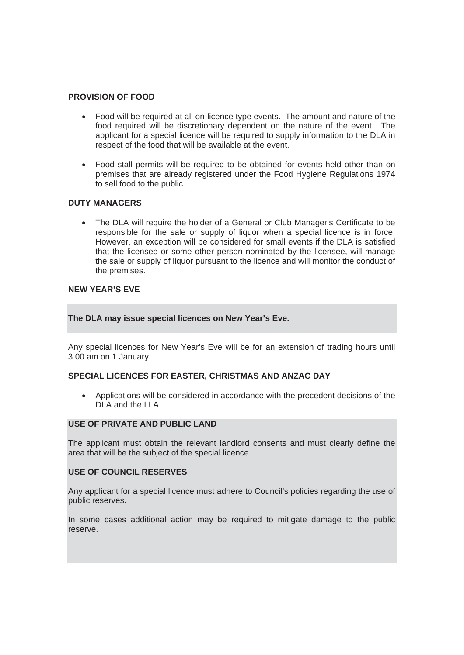## **PROVISION OF FOOD**

- Food will be required at all on-licence type events. The amount and nature of the food required will be discretionary dependent on the nature of the event. The applicant for a special licence will be required to supply information to the DLA in respect of the food that will be available at the event.
- Food stall permits will be required to be obtained for events held other than on premises that are already registered under the Food Hygiene Regulations 1974 to sell food to the public.

## **DUTY MANAGERS**

• The DLA will require the holder of a General or Club Manager's Certificate to be responsible for the sale or supply of liquor when a special licence is in force. However, an exception will be considered for small events if the DLA is satisfied that the licensee or some other person nominated by the licensee, will manage the sale or supply of liquor pursuant to the licence and will monitor the conduct of the premises.

## **NEW YEAR'S EVE**

## **The DLA may issue special licences on New Year's Eve.**

Any special licences for New Year's Eve will be for an extension of trading hours until 3.00 am on 1 January.

## **SPECIAL LICENCES FOR EASTER, CHRISTMAS AND ANZAC DAY**

• Applications will be considered in accordance with the precedent decisions of the DLA and the LLA.

# **USE OF PRIVATE AND PUBLIC LAND**

The applicant must obtain the relevant landlord consents and must clearly define the area that will be the subject of the special licence.

## **USE OF COUNCIL RESERVES**

Any applicant for a special licence must adhere to Council's policies regarding the use of public reserves.

In some cases additional action may be required to mitigate damage to the public reserve.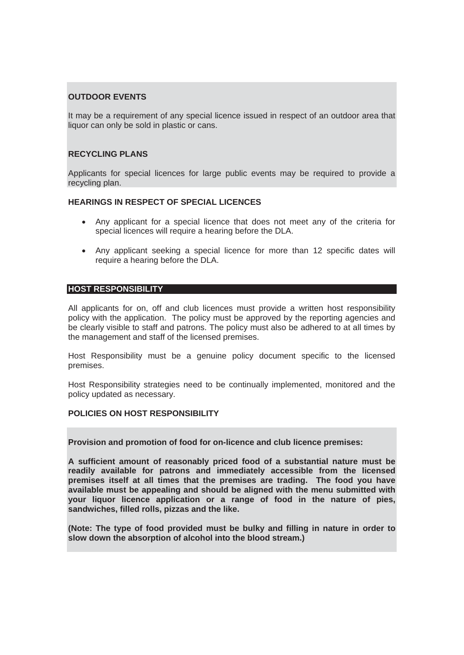# **OUTDOOR EVENTS**

It may be a requirement of any special licence issued in respect of an outdoor area that liquor can only be sold in plastic or cans.

## **RECYCLING PLANS**

Applicants for special licences for large public events may be required to provide a recycling plan.

# **HEARINGS IN RESPECT OF SPECIAL LICENCES**

- Any applicant for a special licence that does not meet any of the criteria for special licences will require a hearing before the DLA.
- Any applicant seeking a special licence for more than 12 specific dates will require a hearing before the DLA.

## **HOST RESPONSIBILITY**

All applicants for on, off and club licences must provide a written host responsibility policy with the application. The policy must be approved by the reporting agencies and be clearly visible to staff and patrons. The policy must also be adhered to at all times by the management and staff of the licensed premises.

Host Responsibility must be a genuine policy document specific to the licensed premises.

Host Responsibility strategies need to be continually implemented, monitored and the policy updated as necessary.

# **POLICIES ON HOST RESPONSIBILITY**

**Provision and promotion of food for on-licence and club licence premises:** 

**A sufficient amount of reasonably priced food of a substantial nature must be readily available for patrons and immediately accessible from the licensed premises itself at all times that the premises are trading. The food you have available must be appealing and should be aligned with the menu submitted with your liquor licence application or a range of food in the nature of pies, sandwiches, filled rolls, pizzas and the like.** 

**(Note: The type of food provided must be bulky and filling in nature in order to slow down the absorption of alcohol into the blood stream.)**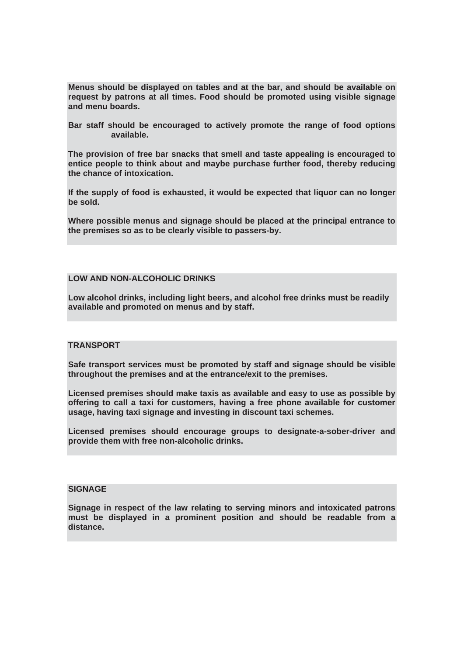**Menus should be displayed on tables and at the bar, and should be available on request by patrons at all times. Food should be promoted using visible signage and menu boards.** 

**Bar staff should be encouraged to actively promote the range of food options available.** 

**The provision of free bar snacks that smell and taste appealing is encouraged to entice people to think about and maybe purchase further food, thereby reducing the chance of intoxication.** 

**If the supply of food is exhausted, it would be expected that liquor can no longer be sold.** 

**Where possible menus and signage should be placed at the principal entrance to the premises so as to be clearly visible to passers-by.** 

## **LOW AND NON-ALCOHOLIC DRINKS**

**Low alcohol drinks, including light beers, and alcohol free drinks must be readily available and promoted on menus and by staff.** 

## **TRANSPORT**

**Safe transport services must be promoted by staff and signage should be visible throughout the premises and at the entrance/exit to the premises.** 

**Licensed premises should make taxis as available and easy to use as possible by offering to call a taxi for customers, having a free phone available for customer usage, having taxi signage and investing in discount taxi schemes.** 

**Licensed premises should encourage groups to designate-a-sober-driver and provide them with free non-alcoholic drinks.** 

## **SIGNAGE**

**Signage in respect of the law relating to serving minors and intoxicated patrons must be displayed in a prominent position and should be readable from a distance.**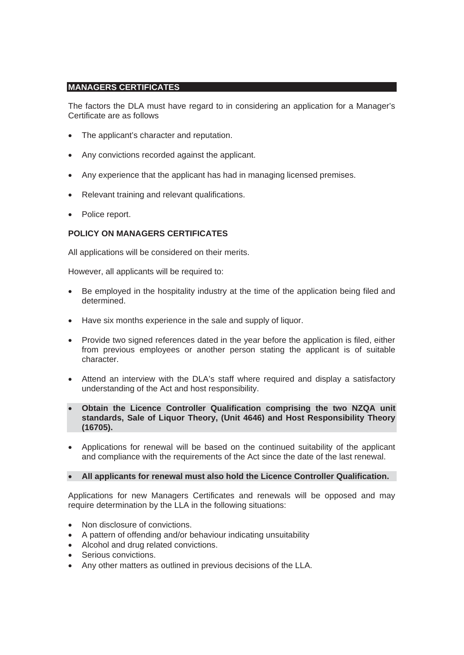# **MANAGERS CERTIFICATES**

The factors the DLA must have regard to in considering an application for a Manager's Certificate are as follows

- The applicant's character and reputation.
- Any convictions recorded against the applicant.
- Any experience that the applicant has had in managing licensed premises.
- Relevant training and relevant qualifications.
- Police report.

# **POLICY ON MANAGERS CERTIFICATES**

All applications will be considered on their merits.

However, all applicants will be required to:

- Be employed in the hospitality industry at the time of the application being filed and determined.
- Have six months experience in the sale and supply of liquor.
- Provide two signed references dated in the year before the application is filed, either from previous employees or another person stating the applicant is of suitable character.
- Attend an interview with the DLA's staff where required and display a satisfactory understanding of the Act and host responsibility.
- x **Obtain the Licence Controller Qualification comprising the two NZQA unit standards, Sale of Liquor Theory, (Unit 4646) and Host Responsibility Theory (16705).**
- Applications for renewal will be based on the continued suitability of the applicant and compliance with the requirements of the Act since the date of the last renewal.

## x **All applicants for renewal must also hold the Licence Controller Qualification.**

Applications for new Managers Certificates and renewals will be opposed and may require determination by the LLA in the following situations:

- Non disclosure of convictions.
- A pattern of offending and/or behaviour indicating unsuitability
- Alcohol and drug related convictions.
- Serious convictions.
- Any other matters as outlined in previous decisions of the LLA.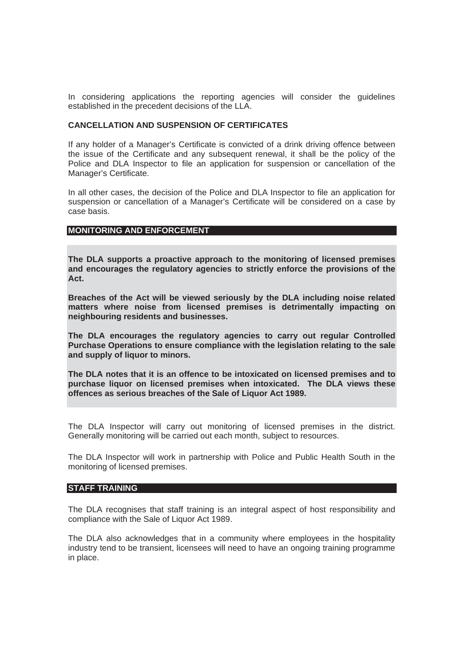In considering applications the reporting agencies will consider the guidelines established in the precedent decisions of the LLA.

## **CANCELLATION AND SUSPENSION OF CERTIFICATES**

If any holder of a Manager's Certificate is convicted of a drink driving offence between the issue of the Certificate and any subsequent renewal, it shall be the policy of the Police and DLA Inspector to file an application for suspension or cancellation of the Manager's Certificate.

In all other cases, the decision of the Police and DLA Inspector to file an application for suspension or cancellation of a Manager's Certificate will be considered on a case by case basis.

## **MONITORING AND ENFORCEMENT**

**The DLA supports a proactive approach to the monitoring of licensed premises and encourages the regulatory agencies to strictly enforce the provisions of the Act.** 

**Breaches of the Act will be viewed seriously by the DLA including noise related matters where noise from licensed premises is detrimentally impacting on neighbouring residents and businesses.** 

**The DLA encourages the regulatory agencies to carry out regular Controlled Purchase Operations to ensure compliance with the legislation relating to the sale and supply of liquor to minors.** 

**The DLA notes that it is an offence to be intoxicated on licensed premises and to purchase liquor on licensed premises when intoxicated. The DLA views these offences as serious breaches of the Sale of Liquor Act 1989.** 

The DLA Inspector will carry out monitoring of licensed premises in the district. Generally monitoring will be carried out each month, subject to resources.

The DLA Inspector will work in partnership with Police and Public Health South in the monitoring of licensed premises.

## **STAFF TRAINING**

The DLA recognises that staff training is an integral aspect of host responsibility and compliance with the Sale of Liquor Act 1989.

The DLA also acknowledges that in a community where employees in the hospitality industry tend to be transient, licensees will need to have an ongoing training programme in place.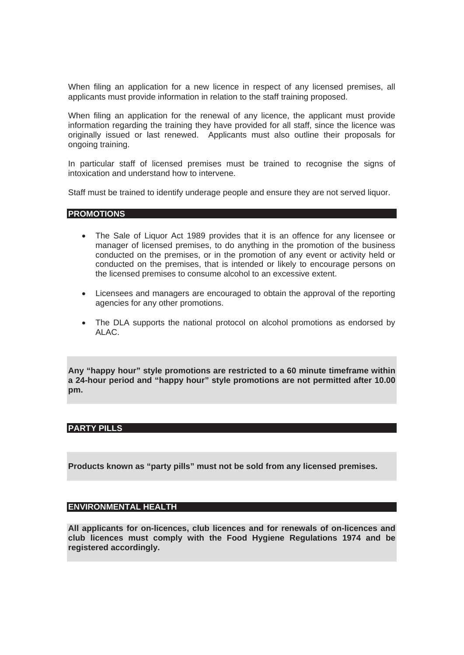When filing an application for a new licence in respect of any licensed premises, all applicants must provide information in relation to the staff training proposed.

When filing an application for the renewal of any licence, the applicant must provide information regarding the training they have provided for all staff, since the licence was originally issued or last renewed. Applicants must also outline their proposals for ongoing training.

In particular staff of licensed premises must be trained to recognise the signs of intoxication and understand how to intervene.

Staff must be trained to identify underage people and ensure they are not served liquor.

## **PROMOTIONS**

- The Sale of Liquor Act 1989 provides that it is an offence for any licensee or manager of licensed premises, to do anything in the promotion of the business conducted on the premises, or in the promotion of any event or activity held or conducted on the premises, that is intended or likely to encourage persons on the licensed premises to consume alcohol to an excessive extent.
- Licensees and managers are encouraged to obtain the approval of the reporting agencies for any other promotions.
- The DLA supports the national protocol on alcohol promotions as endorsed by ALAC.

**Any "happy hour" style promotions are restricted to a 60 minute timeframe within a 24-hour period and "happy hour" style promotions are not permitted after 10.00 pm.**

# **PARTY PILLS**

**Products known as "party pills" must not be sold from any licensed premises.** 

# **ENVIRONMENTAL HEALTH**

**All applicants for on-licences, club licences and for renewals of on-licences and club licences must comply with the Food Hygiene Regulations 1974 and be registered accordingly.**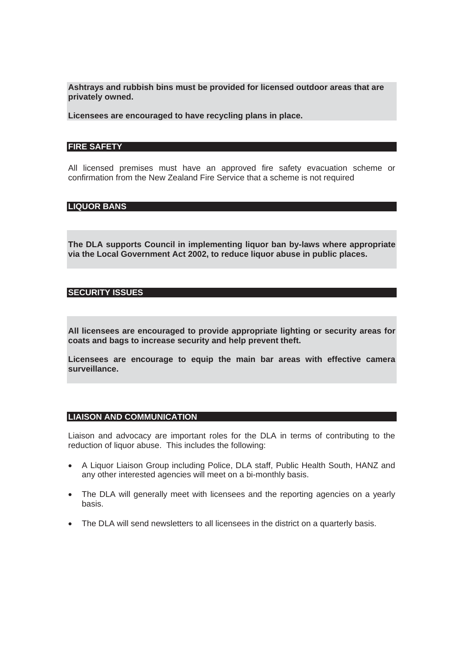**Ashtrays and rubbish bins must be provided for licensed outdoor areas that are privately owned.** 

**Licensees are encouraged to have recycling plans in place.** 

#### **FIRE SAFETY**

All licensed premises must have an approved fire safety evacuation scheme or confirmation from the New Zealand Fire Service that a scheme is not required

# **LIQUOR BANS**

**The DLA supports Council in implementing liquor ban by-laws where appropriate via the Local Government Act 2002, to reduce liquor abuse in public places.** 

#### **SECURITY ISSUES**

**All licensees are encouraged to provide appropriate lighting or security areas for coats and bags to increase security and help prevent theft.** 

**Licensees are encourage to equip the main bar areas with effective camera surveillance.** 

#### **LIAISON AND COMMUNICATION**

Liaison and advocacy are important roles for the DLA in terms of contributing to the reduction of liquor abuse. This includes the following:

- A Liquor Liaison Group including Police, DLA staff, Public Health South, HANZ and any other interested agencies will meet on a bi-monthly basis.
- The DLA will generally meet with licensees and the reporting agencies on a yearly basis.
- The DLA will send newsletters to all licensees in the district on a quarterly basis.